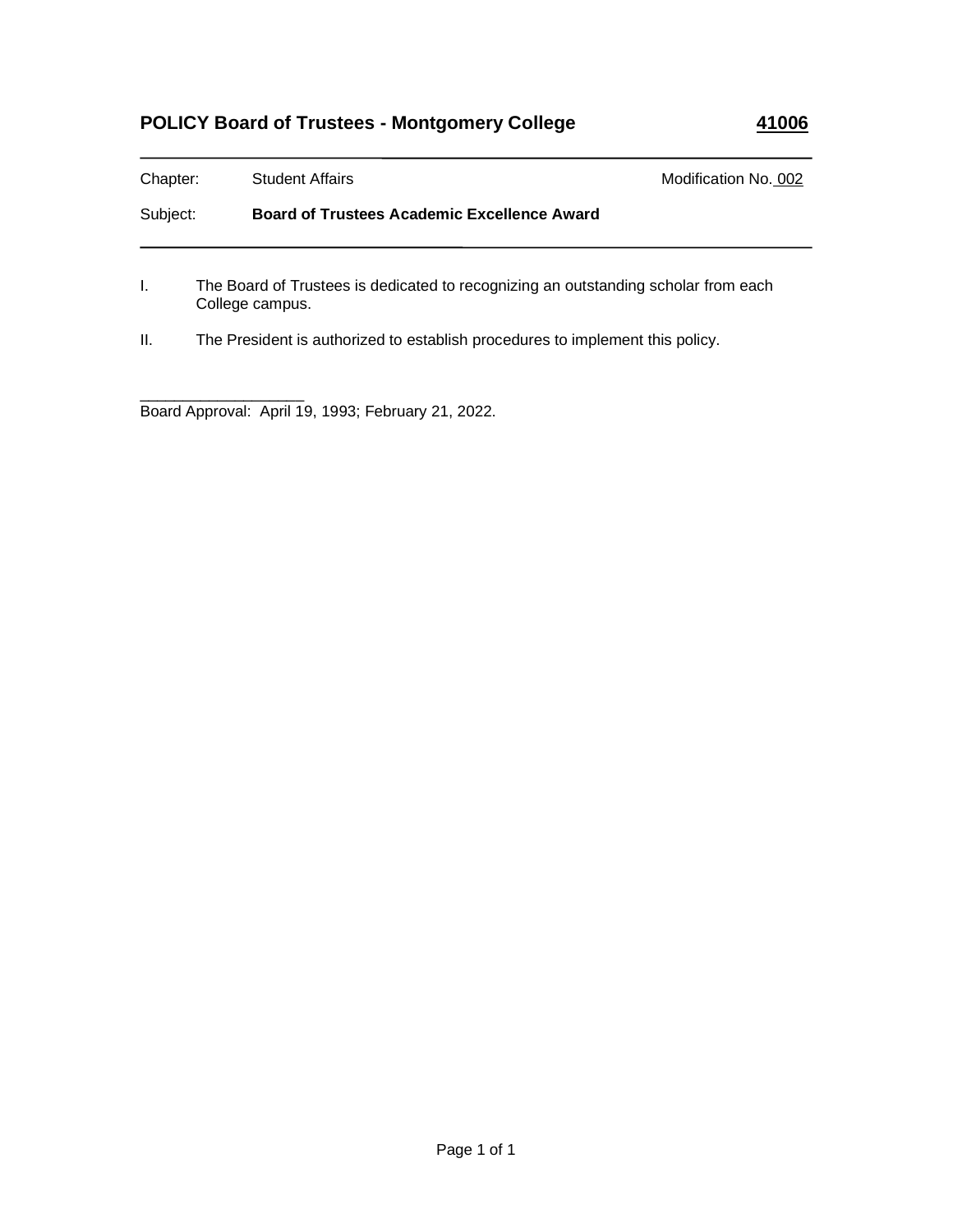# **POLICY Board of Trustees - Montgomery College 41006**

| Chapter: | <b>Student Affairs</b>                                                                                | Modification No. 002 |
|----------|-------------------------------------------------------------------------------------------------------|----------------------|
| Subject: | <b>Board of Trustees Academic Excellence Award</b>                                                    |                      |
|          | The Board of Trustees is dedicated to recognizing an outstanding scholar from each<br>College campus. |                      |

II. The President is authorized to establish procedures to implement this policy.

\_\_\_\_\_\_\_\_\_\_\_\_\_\_\_\_\_\_\_ Board Approval: April 19, 1993; February 21, 2022.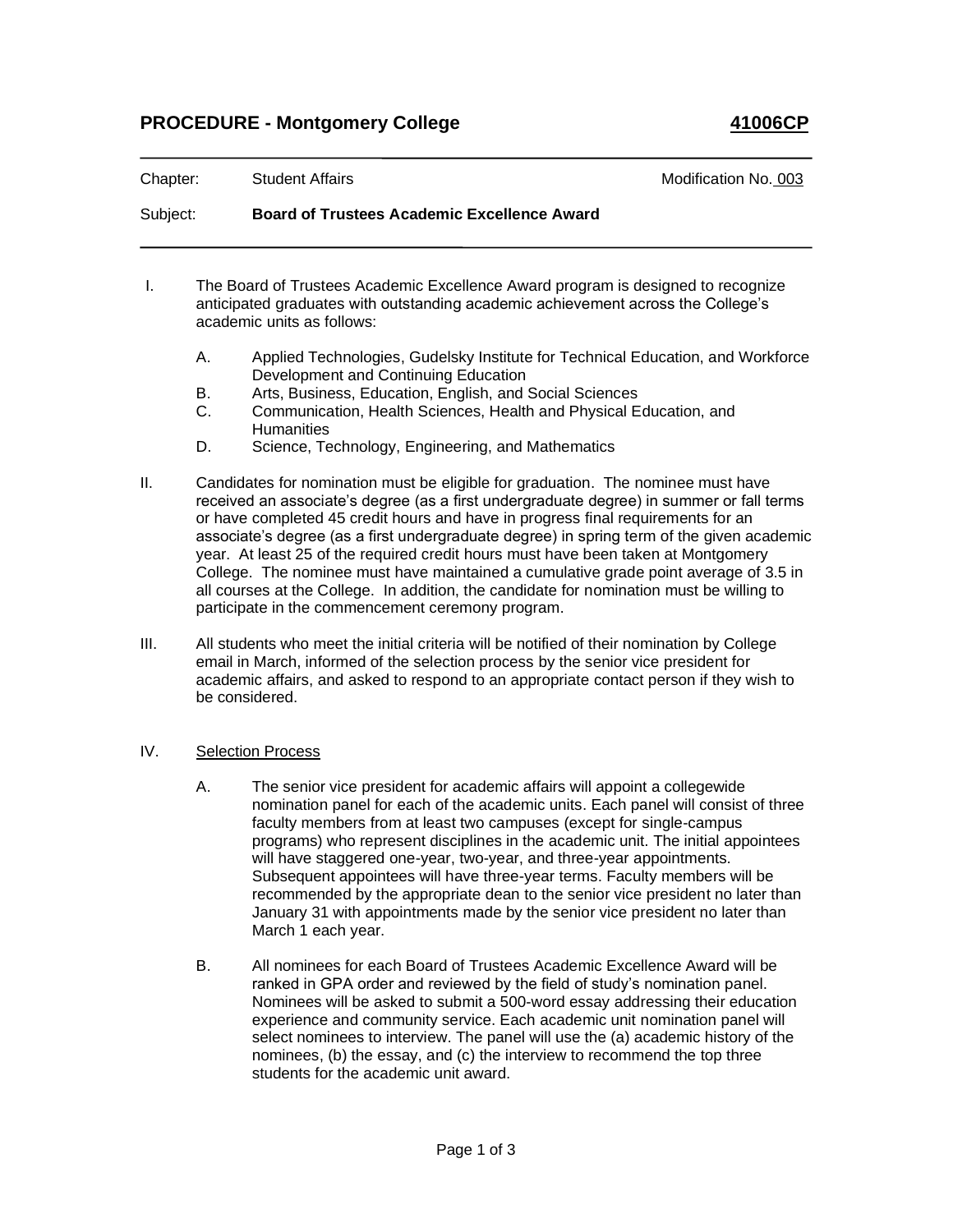### **PROCEDURE - Montgomery College 41006CP**

| Chapter: | <b>Student Affairs</b>                             | Modification No. 003 |
|----------|----------------------------------------------------|----------------------|
| Subject: | <b>Board of Trustees Academic Excellence Award</b> |                      |

- I. The Board of Trustees Academic Excellence Award program is designed to recognize anticipated graduates with outstanding academic achievement across the College's academic units as follows:
	- A. Applied Technologies, Gudelsky Institute for Technical Education, and Workforce Development and Continuing Education
	- B. Arts, Business, Education, English, and Social Sciences<br>C. Communication. Health Sciences. Health and Physical E
	- Communication, Health Sciences, Health and Physical Education, and **Humanities**
	- D. Science, Technology, Engineering, and Mathematics
- II. Candidates for nomination must be eligible for graduation. The nominee must have received an associate's degree (as a first undergraduate degree) in summer or fall terms or have completed 45 credit hours and have in progress final requirements for an associate's degree (as a first undergraduate degree) in spring term of the given academic year. At least 25 of the required credit hours must have been taken at Montgomery College. The nominee must have maintained a cumulative grade point average of 3.5 in all courses at the College. In addition, the candidate for nomination must be willing to participate in the commencement ceremony program.
- III. All students who meet the initial criteria will be notified of their nomination by College email in March, informed of the selection process by the senior vice president for academic affairs, and asked to respond to an appropriate contact person if they wish to be considered.
- IV. Selection Process
	- A. The senior vice president for academic affairs will appoint a collegewide nomination panel for each of the academic units. Each panel will consist of three faculty members from at least two campuses (except for single-campus programs) who represent disciplines in the academic unit. The initial appointees will have staggered one-year, two-year, and three-year appointments. Subsequent appointees will have three-year terms. Faculty members will be recommended by the appropriate dean to the senior vice president no later than January 31 with appointments made by the senior vice president no later than March 1 each year.
	- B. All nominees for each Board of Trustees Academic Excellence Award will be ranked in GPA order and reviewed by the field of study's nomination panel. Nominees will be asked to submit a 500-word essay addressing their education experience and community service. Each academic unit nomination panel will select nominees to interview. The panel will use the (a) academic history of the nominees, (b) the essay, and (c) the interview to recommend the top three students for the academic unit award.